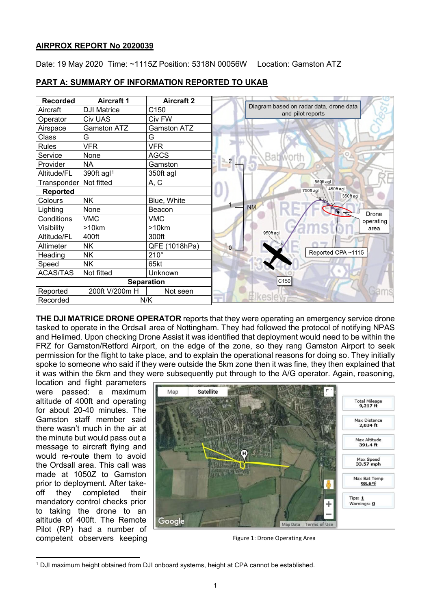### **AIRPROX REPORT No 2020039**

Date: 19 May 2020 Time: ~1115Z Position: 5318N 00056W Location: Gamston ATZ

| <b>Recorded</b>   | <b>Aircraft 1</b>      | <b>Aircraft 2</b>  |                                                              |
|-------------------|------------------------|--------------------|--------------------------------------------------------------|
| Aircraft          | <b>DJI Matrice</b>     | C150               | Diagram based on radar data, drone data<br>and pilot reports |
| Operator          | <b>Civ UAS</b>         | Civ FW             |                                                              |
| Airspace          | <b>Gamston ATZ</b>     | <b>Gamston ATZ</b> |                                                              |
| Class             | G                      | G                  |                                                              |
| <b>Rules</b>      | <b>VFR</b>             | <b>VFR</b>         |                                                              |
| Service           | None                   | <b>AGCS</b>        | Bab<br>$\overline{2}$                                        |
| Provider          | <b>NA</b>              | Gamston            |                                                              |
| Altitude/FL       | 390ft agl <sup>1</sup> | 350ft agl          |                                                              |
| Transponder       | Not fitted             | A, C               | 550ft agl                                                    |
| <b>Reported</b>   |                        |                    | 450ft agl<br>750ft agl<br>350ft agl                          |
| Colours           | <b>NK</b>              | Blue, White        |                                                              |
| Lighting          | None                   | Beacon             | <b>NM</b><br><b>Drone</b>                                    |
| Conditions        | <b>VMC</b>             | <b>VMC</b>         | operating                                                    |
| Visibility        | >10km                  | >10km              | area<br>950ft agl                                            |
| Altitude/FL       | 400ft                  | 300ft              |                                                              |
| Altimeter         | <b>NK</b>              | QFE (1018hPa)      | $\mathbf{0}$                                                 |
| Heading           | <b>NK</b>              | $210^\circ$        | Reported CPA ~1115                                           |
| Speed             | <b>NK</b>              | 65kt               |                                                              |
| <b>ACAS/TAS</b>   | Not fitted             | Unknown            |                                                              |
| <b>Separation</b> |                        |                    | C150                                                         |
| Reported          | 200ft V/200m H         | Not seen           |                                                              |
| Recorded          | N/K                    |                    |                                                              |

# **PART A: SUMMARY OF INFORMATION REPORTED TO UKAB**

**THE DJI MATRICE DRONE OPERATOR** reports that they were operating an emergency service drone tasked to operate in the Ordsall area of Nottingham. They had followed the protocol of notifying NPAS and Helimed. Upon checking Drone Assist it was identified that deployment would need to be within the FRZ for Gamston/Retford Airport, on the edge of the zone, so they rang Gamston Airport to seek permission for the flight to take place, and to explain the operational reasons for doing so. They initially spoke to someone who said if they were outside the 5km zone then it was fine, they then explained that it was within the 5km and they were subsequently put through to the A/G operator. Again, reasoning,

location and flight parameters were passed: a maximum altitude of 400ft and operating for about 20-40 minutes. The Gamston staff member said there wasn't much in the air at the minute but would pass out a message to aircraft flying and would re-route them to avoid the Ordsall area. This call was made at 1050Z to Gamston prior to deployment. After takeoff they completed their mandatory control checks prior to taking the drone to an altitude of 400ft. The Remote Pilot (RP) had a number of competent observers keeping



Figure 1: Drone Operating Area

<span id="page-0-0"></span>l <sup>1</sup> DJI maximum height obtained from DJI onboard systems, height at CPA cannot be established.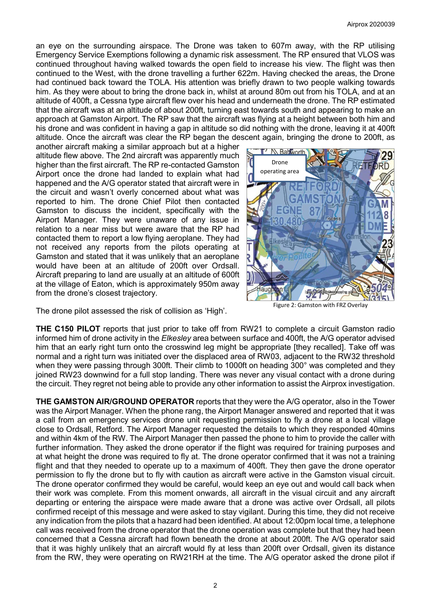an eye on the surrounding airspace. The Drone was taken to 607m away, with the RP utilising Emergency Service Exemptions following a dynamic risk assessment. The RP ensured that VLOS was continued throughout having walked towards the open field to increase his view. The flight was then continued to the West, with the drone travelling a further 622m. Having checked the areas, the Drone had continued back toward the TOLA. His attention was briefly drawn to two people walking towards him. As they were about to bring the drone back in, whilst at around 80m out from his TOLA, and at an altitude of 400ft, a Cessna type aircraft flew over his head and underneath the drone. The RP estimated that the aircraft was at an altitude of about 200ft, turning east towards south and appearing to make an approach at Gamston Airport. The RP saw that the aircraft was flying at a height between both him and his drone and was confident in having a gap in altitude so did nothing with the drone, leaving it at 400ft altitude. Once the aircraft was clear the RP began the descent again, bringing the drone to 200ft, as

another aircraft making a similar approach but at a higher altitude flew above. The 2nd aircraft was apparently much higher than the first aircraft. The RP re-contacted Gamston Airport once the drone had landed to explain what had happened and the A/G operator stated that aircraft were in the circuit and wasn't overly concerned about what was reported to him. The drone Chief Pilot then contacted Gamston to discuss the incident, specifically with the Airport Manager. They were unaware of any issue in relation to a near miss but were aware that the RP had contacted them to report a low flying aeroplane. They had not received any reports from the pilots operating at Gamston and stated that it was unlikely that an aeroplane would have been at an altitude of 200ft over Ordsall. Aircraft preparing to land are usually at an altitude of 600ft at the village of Eaton, which is approximately 950m away from the drone's closest trajectory.



Figure 2: Gamston with FRZ Overlay

The drone pilot assessed the risk of collision as 'High'.

**THE C150 PILOT** reports that just prior to take off from RW21 to complete a circuit Gamston radio informed him of drone activity in the *Elkesley* area between surface and 400ft, the A/G operator advised him that an early right turn onto the crosswind leg might be appropriate [they recalled]. Take off was normal and a right turn was initiated over the displaced area of RW03, adjacent to the RW32 threshold when they were passing through 300ft. Their climb to 1000ft on heading 300° was completed and they joined RW23 downwind for a full stop landing. There was never any visual contact with a drone during the circuit. They regret not being able to provide any other information to assist the Airprox investigation.

**THE GAMSTON AIR/GROUND OPERATOR** reports that they were the A/G operator, also in the Tower was the Airport Manager. When the phone rang, the Airport Manager answered and reported that it was a call from an emergency services drone unit requesting permission to fly a drone at a local village close to Ordsall, Retford. The Airport Manager requested the details to which they responded 40mins and within 4km of the RW. The Airport Manager then passed the phone to him to provide the caller with further information. They asked the drone operator if the flight was required for training purposes and at what height the drone was required to fly at. The drone operator confirmed that it was not a training flight and that they needed to operate up to a maximum of 400ft. They then gave the drone operator permission to fly the drone but to fly with caution as aircraft were active in the Gamston visual circuit. The drone operator confirmed they would be careful, would keep an eye out and would call back when their work was complete. From this moment onwards, all aircraft in the visual circuit and any aircraft departing or entering the airspace were made aware that a drone was active over Ordsall, all pilots confirmed receipt of this message and were asked to stay vigilant. During this time, they did not receive any indication from the pilots that a hazard had been identified. At about 12:00pm local time, a telephone call was received from the drone operator that the drone operation was complete but that they had been concerned that a Cessna aircraft had flown beneath the drone at about 200ft. The A/G operator said that it was highly unlikely that an aircraft would fly at less than 200ft over Ordsall, given its distance from the RW, they were operating on RW21RH at the time. The A/G operator asked the drone pilot if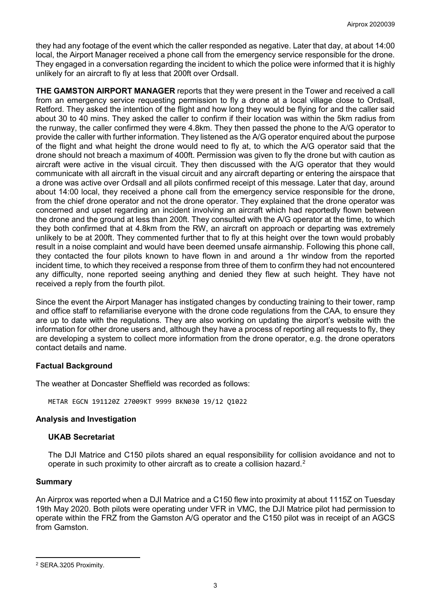they had any footage of the event which the caller responded as negative. Later that day, at about 14:00 local, the Airport Manager received a phone call from the emergency service responsible for the drone. They engaged in a conversation regarding the incident to which the police were informed that it is highly unlikely for an aircraft to fly at less that 200ft over Ordsall.

**THE GAMSTON AIRPORT MANAGER** reports that they were present in the Tower and received a call from an emergency service requesting permission to fly a drone at a local village close to Ordsall, Retford. They asked the intention of the flight and how long they would be flying for and the caller said about 30 to 40 mins. They asked the caller to confirm if their location was within the 5km radius from the runway, the caller confirmed they were 4.8km. They then passed the phone to the A/G operator to provide the caller with further information. They listened as the A/G operator enquired about the purpose of the flight and what height the drone would need to fly at, to which the A/G operator said that the drone should not breach a maximum of 400ft. Permission was given to fly the drone but with caution as aircraft were active in the visual circuit. They then discussed with the A/G operator that they would communicate with all aircraft in the visual circuit and any aircraft departing or entering the airspace that a drone was active over Ordsall and all pilots confirmed receipt of this message. Later that day, around about 14:00 local, they received a phone call from the emergency service responsible for the drone, from the chief drone operator and not the drone operator. They explained that the drone operator was concerned and upset regarding an incident involving an aircraft which had reportedly flown between the drone and the ground at less than 200ft. They consulted with the A/G operator at the time, to which they both confirmed that at 4.8km from the RW, an aircraft on approach or departing was extremely unlikely to be at 200ft. They commented further that to fly at this height over the town would probably result in a noise complaint and would have been deemed unsafe airmanship. Following this phone call, they contacted the four pilots known to have flown in and around a 1hr window from the reported incident time, to which they received a response from three of them to confirm they had not encountered any difficulty, none reported seeing anything and denied they flew at such height. They have not received a reply from the fourth pilot.

Since the event the Airport Manager has instigated changes by conducting training to their tower, ramp and office staff to refamiliarise everyone with the drone code regulations from the CAA, to ensure they are up to date with the regulations. They are also working on updating the airport's website with the information for other drone users and, although they have a process of reporting all requests to fly, they are developing a system to collect more information from the drone operator, e.g. the drone operators contact details and name.

## **Factual Background**

The weather at Doncaster Sheffield was recorded as follows:

METAR EGCN 191120Z 27009KT 9999 BKN030 19/12 Q1022

## **Analysis and Investigation**

## **UKAB Secretariat**

The DJI Matrice and C150 pilots shared an equal responsibility for collision avoidance and not to operate in such proximity to other aircraft as to create a collision hazard.<sup>[2](#page-2-0)</sup>

### **Summary**

l

An Airprox was reported when a DJI Matrice and a C150 flew into proximity at about 1115Z on Tuesday 19th May 2020. Both pilots were operating under VFR in VMC, the DJI Matrice pilot had permission to operate within the FRZ from the Gamston A/G operator and the C150 pilot was in receipt of an AGCS from Gamston.

<span id="page-2-0"></span><sup>2</sup> SERA.3205 Proximity.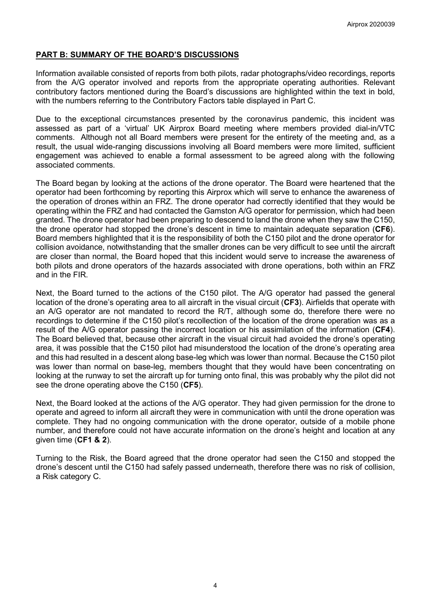## **PART B: SUMMARY OF THE BOARD'S DISCUSSIONS**

Information available consisted of reports from both pilots, radar photographs/video recordings, reports from the A/G operator involved and reports from the appropriate operating authorities. Relevant contributory factors mentioned during the Board's discussions are highlighted within the text in bold, with the numbers referring to the Contributory Factors table displayed in Part C.

Due to the exceptional circumstances presented by the coronavirus pandemic, this incident was assessed as part of a 'virtual' UK Airprox Board meeting where members provided dial-in/VTC comments. Although not all Board members were present for the entirety of the meeting and, as a result, the usual wide-ranging discussions involving all Board members were more limited, sufficient engagement was achieved to enable a formal assessment to be agreed along with the following associated comments.

The Board began by looking at the actions of the drone operator. The Board were heartened that the operator had been forthcoming by reporting this Airprox which will serve to enhance the awareness of the operation of drones within an FRZ. The drone operator had correctly identified that they would be operating within the FRZ and had contacted the Gamston A/G operator for permission, which had been granted. The drone operator had been preparing to descend to land the drone when they saw the C150, the drone operator had stopped the drone's descent in time to maintain adequate separation (**CF6**). Board members highlighted that it is the responsibility of both the C150 pilot and the drone operator for collision avoidance, notwithstanding that the smaller drones can be very difficult to see until the aircraft are closer than normal, the Board hoped that this incident would serve to increase the awareness of both pilots and drone operators of the hazards associated with drone operations, both within an FRZ and in the FIR.

Next, the Board turned to the actions of the C150 pilot. The A/G operator had passed the general location of the drone's operating area to all aircraft in the visual circuit (**CF3**). Airfields that operate with an A/G operator are not mandated to record the R/T, although some do, therefore there were no recordings to determine if the C150 pilot's recollection of the location of the drone operation was as a result of the A/G operator passing the incorrect location or his assimilation of the information (**CF4**). The Board believed that, because other aircraft in the visual circuit had avoided the drone's operating area, it was possible that the C150 pilot had misunderstood the location of the drone's operating area and this had resulted in a descent along base-leg which was lower than normal. Because the C150 pilot was lower than normal on base-leg, members thought that they would have been concentrating on looking at the runway to set the aircraft up for turning onto final, this was probably why the pilot did not see the drone operating above the C150 (**CF5**).

Next, the Board looked at the actions of the A/G operator. They had given permission for the drone to operate and agreed to inform all aircraft they were in communication with until the drone operation was complete. They had no ongoing communication with the drone operator, outside of a mobile phone number, and therefore could not have accurate information on the drone's height and location at any given time (**CF1 & 2**).

Turning to the Risk, the Board agreed that the drone operator had seen the C150 and stopped the drone's descent until the C150 had safely passed underneath, therefore there was no risk of collision, a Risk category C.